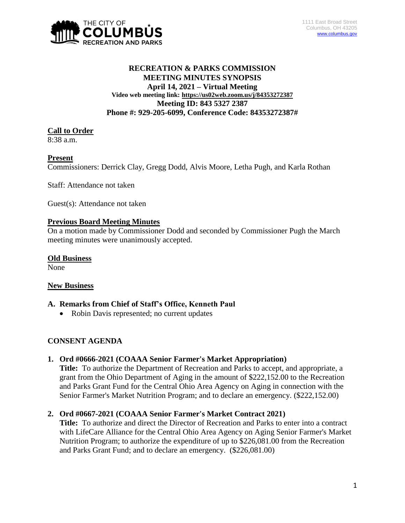

## **RECREATION & PARKS COMMISSION MEETING MINUTES SYNOPSIS April 14, 2021 – Virtual Meeting Video web meeting link: <https://us02web.zoom.us/j/84353272387> Meeting ID: 843 5327 2387 Phone #: 929-205-6099, Conference Code: 84353272387#**

### **Call to Order**

8:38 a.m.

### **Present**

Commissioners: Derrick Clay, Gregg Dodd, Alvis Moore, Letha Pugh, and Karla Rothan

Staff: Attendance not taken

Guest(s): Attendance not taken

## **Previous Board Meeting Minutes**

On a motion made by Commissioner Dodd and seconded by Commissioner Pugh the March meeting minutes were unanimously accepted.

## **Old Business**

None

# **New Business**

# **A. Remarks from Chief of Staff's Office, Kenneth Paul**

• Robin Davis represented; no current updates

# **CONSENT AGENDA**

# **1. Ord #0666-2021 (COAAA Senior Farmer's Market Appropriation)**

**Title:** To authorize the Department of Recreation and Parks to accept, and appropriate, a grant from the Ohio Department of Aging in the amount of \$222,152.00 to the Recreation and Parks Grant Fund for the Central Ohio Area Agency on Aging in connection with the Senior Farmer's Market Nutrition Program; and to declare an emergency. (\$222,152.00)

# **2. Ord #0667-2021 (COAAA Senior Farmer's Market Contract 2021)**

**Title:** To authorize and direct the Director of Recreation and Parks to enter into a contract with LifeCare Alliance for the Central Ohio Area Agency on Aging Senior Farmer's Market Nutrition Program; to authorize the expenditure of up to \$226,081.00 from the Recreation and Parks Grant Fund; and to declare an emergency. (\$226,081.00)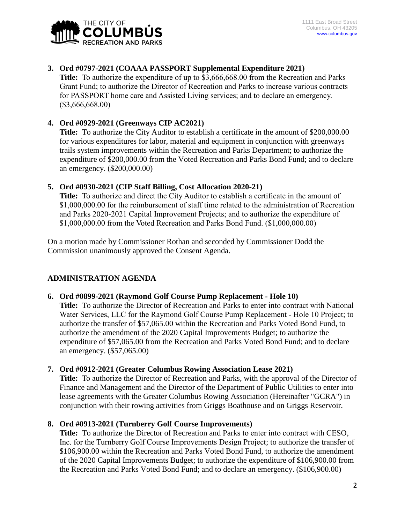

# **3. Ord #0797-2021 (COAAA PASSPORT Supplemental Expenditure 2021)**

**Title:** To authorize the expenditure of up to \$3,666,668.00 from the Recreation and Parks Grant Fund; to authorize the Director of Recreation and Parks to increase various contracts for PASSPORT home care and Assisted Living services; and to declare an emergency. (\$3,666,668.00)

## **4. Ord #0929-2021 (Greenways CIP AC2021)**

**Title:** To authorize the City Auditor to establish a certificate in the amount of \$200,000.00 for various expenditures for labor, material and equipment in conjunction with greenways trails system improvements within the Recreation and Parks Department; to authorize the expenditure of \$200,000.00 from the Voted Recreation and Parks Bond Fund; and to declare an emergency. (\$200,000.00)

## **5. Ord #0930-2021 (CIP Staff Billing, Cost Allocation 2020-21)**

**Title:** To authorize and direct the City Auditor to establish a certificate in the amount of \$1,000,000.00 for the reimbursement of staff time related to the administration of Recreation and Parks 2020-2021 Capital Improvement Projects; and to authorize the expenditure of \$1,000,000.00 from the Voted Recreation and Parks Bond Fund. (\$1,000,000.00)

On a motion made by Commissioner Rothan and seconded by Commissioner Dodd the Commission unanimously approved the Consent Agenda.

# **ADMINISTRATION AGENDA**

### **6. Ord #0899-2021 (Raymond Golf Course Pump Replacement - Hole 10)**

**Title:** To authorize the Director of Recreation and Parks to enter into contract with National Water Services, LLC for the Raymond Golf Course Pump Replacement - Hole 10 Project; to authorize the transfer of \$57,065.00 within the Recreation and Parks Voted Bond Fund, to authorize the amendment of the 2020 Capital Improvements Budget; to authorize the expenditure of \$57,065.00 from the Recreation and Parks Voted Bond Fund; and to declare an emergency. (\$57,065.00)

### **7. Ord #0912-2021 (Greater Columbus Rowing Association Lease 2021)**

**Title:** To authorize the Director of Recreation and Parks, with the approval of the Director of Finance and Management and the Director of the Department of Public Utilities to enter into lease agreements with the Greater Columbus Rowing Association (Hereinafter "GCRA") in conjunction with their rowing activities from Griggs Boathouse and on Griggs Reservoir.

### **8. Ord #0913-2021 (Turnberry Golf Course Improvements)**

**Title:** To authorize the Director of Recreation and Parks to enter into contract with CESO, Inc. for the Turnberry Golf Course Improvements Design Project; to authorize the transfer of \$106,900.00 within the Recreation and Parks Voted Bond Fund, to authorize the amendment of the 2020 Capital Improvements Budget; to authorize the expenditure of \$106,900.00 from the Recreation and Parks Voted Bond Fund; and to declare an emergency. (\$106,900.00)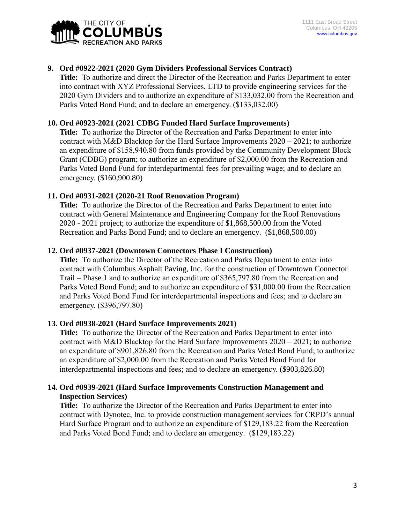

## **9. Ord #0922-2021 (2020 Gym Dividers Professional Services Contract)**

**Title:** To authorize and direct the Director of the Recreation and Parks Department to enter into contract with XYZ Professional Services, LTD to provide engineering services for the 2020 Gym Dividers and to authorize an expenditure of \$133,032.00 from the Recreation and Parks Voted Bond Fund; and to declare an emergency. (\$133,032.00)

### **10. Ord #0923-2021 (2021 CDBG Funded Hard Surface Improvements)**

**Title:** To authorize the Director of the Recreation and Parks Department to enter into contract with M&D Blacktop for the Hard Surface Improvements 2020 – 2021; to authorize an expenditure of \$158,940.80 from funds provided by the Community Development Block Grant (CDBG) program; to authorize an expenditure of \$2,000.00 from the Recreation and Parks Voted Bond Fund for interdepartmental fees for prevailing wage; and to declare an emergency. (\$160,900.80)

#### **11. Ord #0931-2021 (2020-21 Roof Renovation Program)**

**Title:** To authorize the Director of the Recreation and Parks Department to enter into contract with General Maintenance and Engineering Company for the Roof Renovations 2020 - 2021 project; to authorize the expenditure of \$1,868,500.00 from the Voted Recreation and Parks Bond Fund; and to declare an emergency. (\$1,868,500.00)

#### **12. Ord #0937-2021 (Downtown Connectors Phase I Construction)**

**Title:** To authorize the Director of the Recreation and Parks Department to enter into contract with Columbus Asphalt Paving, Inc. for the construction of Downtown Connector Trail – Phase 1 and to authorize an expenditure of \$365,797.80 from the Recreation and Parks Voted Bond Fund; and to authorize an expenditure of \$31,000.00 from the Recreation and Parks Voted Bond Fund for interdepartmental inspections and fees; and to declare an emergency. (\$396,797.80)

#### **13. Ord #0938-2021 (Hard Surface Improvements 2021)**

**Title:** To authorize the Director of the Recreation and Parks Department to enter into contract with M&D Blacktop for the Hard Surface Improvements  $2020 - 2021$ ; to authorize an expenditure of \$901,826.80 from the Recreation and Parks Voted Bond Fund; to authorize an expenditure of \$2,000.00 from the Recreation and Parks Voted Bond Fund for interdepartmental inspections and fees; and to declare an emergency. (\$903,826.80)

### **14. Ord #0939-2021 (Hard Surface Improvements Construction Management and Inspection Services)**

**Title:** To authorize the Director of the Recreation and Parks Department to enter into contract with Dynotec, Inc. to provide construction management services for CRPD's annual Hard Surface Program and to authorize an expenditure of \$129,183.22 from the Recreation and Parks Voted Bond Fund; and to declare an emergency. (\$129,183.22)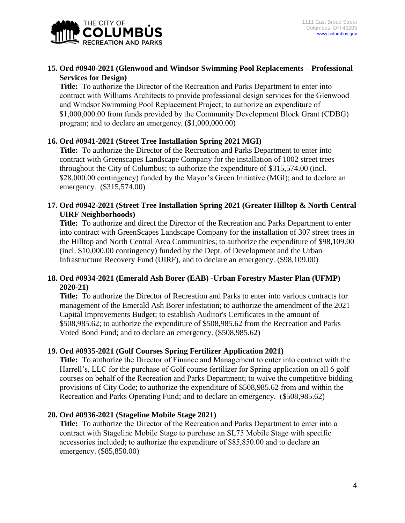

## **15. Ord #0940-2021 (Glenwood and Windsor Swimming Pool Replacements – Professional Services for Design)**

**Title:** To authorize the Director of the Recreation and Parks Department to enter into contract with Williams Architects to provide professional design services for the Glenwood and Windsor Swimming Pool Replacement Project; to authorize an expenditure of \$1,000,000.00 from funds provided by the Community Development Block Grant (CDBG) program; and to declare an emergency. (\$1,000,000.00)

### **16. Ord #0941-2021 (Street Tree Installation Spring 2021 MGI)**

**Title:** To authorize the Director of the Recreation and Parks Department to enter into contract with Greenscapes Landscape Company for the installation of 1002 street trees throughout the City of Columbus; to authorize the expenditure of \$315,574.00 (incl. \$28,000.00 contingency) funded by the Mayor's Green Initiative (MGI); and to declare an emergency. (\$315,574.00)

## **17. Ord #0942-2021 (Street Tree Installation Spring 2021 (Greater Hilltop & North Central UIRF Neighborhoods)**

**Title:** To authorize and direct the Director of the Recreation and Parks Department to enter into contract with GreenScapes Landscape Company for the installation of 307 street trees in the Hilltop and North Central Area Communities; to authorize the expenditure of \$98,109.00 (incl. \$10,000.00 contingency) funded by the Dept. of Development and the Urban Infrastructure Recovery Fund (UIRF), and to declare an emergency. (\$98,109.00)

## **18. Ord #0934-2021 (Emerald Ash Borer (EAB) -Urban Forestry Master Plan (UFMP) 2020-21)**

**Title:** To authorize the Director of Recreation and Parks to enter into various contracts for management of the Emerald Ash Borer infestation; to authorize the amendment of the 2021 Capital Improvements Budget; to establish Auditor's Certificates in the amount of \$508,985.62; to authorize the expenditure of \$508,985.62 from the Recreation and Parks Voted Bond Fund; and to declare an emergency. (\$508,985.62)

# **19. Ord #0935-2021 (Golf Courses Spring Fertilizer Application 2021)**

**Title:** To authorize the Director of Finance and Management to enter into contract with the Harrell's, LLC for the purchase of Golf course fertilizer for Spring application on all 6 golf courses on behalf of the Recreation and Parks Department; to waive the competitive bidding provisions of City Code; to authorize the expenditure of \$508,985.62 from and within the Recreation and Parks Operating Fund; and to declare an emergency. (\$508,985.62)

### **20. Ord #0936-2021 (Stageline Mobile Stage 2021)**

**Title:** To authorize the Director of the Recreation and Parks Department to enter into a contract with Stageline Mobile Stage to purchase an SL75 Mobile Stage with specific accessories included; to authorize the expenditure of \$85,850.00 and to declare an emergency. (\$85,850.00)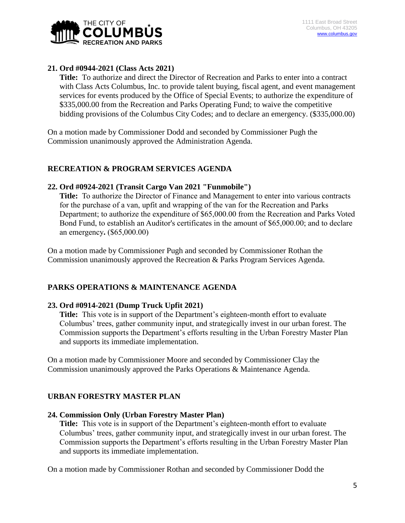

# **21. Ord #0944-2021 (Class Acts 2021)**

**Title:** To authorize and direct the Director of Recreation and Parks to enter into a contract with Class Acts Columbus, Inc. to provide talent buying, fiscal agent, and event management services for events produced by the Office of Special Events; to authorize the expenditure of \$335,000.00 from the Recreation and Parks Operating Fund; to waive the competitive bidding provisions of the Columbus City Codes; and to declare an emergency. (\$335,000.00)

On a motion made by Commissioner Dodd and seconded by Commissioner Pugh the Commission unanimously approved the Administration Agenda.

# **RECREATION & PROGRAM SERVICES AGENDA**

## **22. Ord #0924-2021 (Transit Cargo Van 2021 "Funmobile")**

**Title:** To authorize the Director of Finance and Management to enter into various contracts for the purchase of a van, upfit and wrapping of the van for the Recreation and Parks Department; to authorize the expenditure of \$65,000.00 from the Recreation and Parks Voted Bond Fund, to establish an Auditor's certificates in the amount of \$65,000.00; and to declare an emergency**.** (\$65,000.00)

On a motion made by Commissioner Pugh and seconded by Commissioner Rothan the Commission unanimously approved the Recreation & Parks Program Services Agenda.

# **PARKS OPERATIONS & MAINTENANCE AGENDA**

# **23. Ord #0914-2021 (Dump Truck Upfit 2021)**

**Title:** This vote is in support of the Department's eighteen-month effort to evaluate Columbus' trees, gather community input, and strategically invest in our urban forest. The Commission supports the Department's efforts resulting in the Urban Forestry Master Plan and supports its immediate implementation.

On a motion made by Commissioner Moore and seconded by Commissioner Clay the Commission unanimously approved the Parks Operations & Maintenance Agenda.

# **URBAN FORESTRY MASTER PLAN**

### **24. Commission Only (Urban Forestry Master Plan)**

**Title:** This vote is in support of the Department's eighteen-month effort to evaluate Columbus' trees, gather community input, and strategically invest in our urban forest. The Commission supports the Department's efforts resulting in the Urban Forestry Master Plan and supports its immediate implementation.

On a motion made by Commissioner Rothan and seconded by Commissioner Dodd the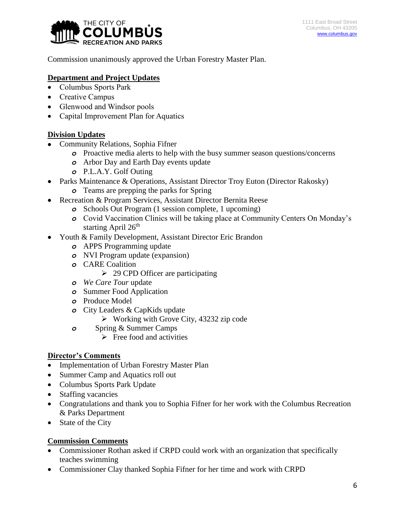

Commission unanimously approved the Urban Forestry Master Plan.

# **Department and Project Updates**

- Columbus Sports Park
- Creative Campus
- Glenwood and Windsor pools
- Capital Improvement Plan for Aquatics

# **Division Updates**

- Community Relations, Sophia Fifner
	- *o* Proactive media alerts to help with the busy summer season questions/concerns
	- *o* Arbor Day and Earth Day events update
	- *o* P.L.A.Y. Golf Outing
- Parks Maintenance & Operations, Assistant Director Troy Euton (Director Rakosky)
	- *o* Teams are prepping the parks for Spring
- Recreation & Program Services, Assistant Director Bernita Reese
	- *o* Schools Out Program (1 session complete, 1 upcoming)
	- *o* Covid Vaccination Clinics will be taking place at Community Centers On Monday's starting April 26<sup>th</sup>
- Youth & Family Development, Assistant Director Eric Brandon
	- *o* APPS Programming update
	- *o* NVI Program update (expansion)
	- *o* CARE Coalition
		- $\geq$  29 CPD Officer are participating
	- *o We Care Tour* update
	- *o* Summer Food Application
	- *o* Produce Model
	- *o* City Leaders & CapKids update
		- $\triangleright$  Working with Grove City, 43232 zip code
	- *o* Spring & Summer Camps
		- $\triangleright$  Free food and activities

# **Director's Comments**

- Implementation of Urban Forestry Master Plan
- Summer Camp and Aquatics roll out
- Columbus Sports Park Update
- Staffing vacancies
- Congratulations and thank you to Sophia Fifner for her work with the Columbus Recreation & Parks Department
- State of the City

# **Commission Comments**

- Commissioner Rothan asked if CRPD could work with an organization that specifically teaches swimming
- Commissioner Clay thanked Sophia Fifner for her time and work with CRPD